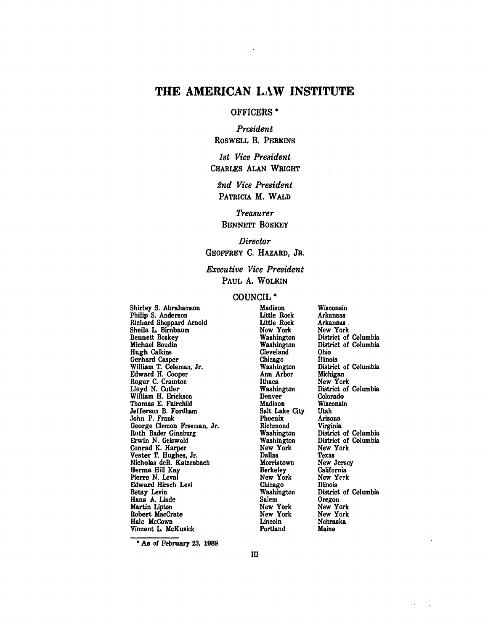# THE **AMERICAN** LAW **INSTITUTE**

#### OFFICERS **\***

*President* ROSWELL B. PERKINS

*1st Vice President* CHARLES **ALAN** WRIGHT

*2nd Vice President* PATRICIA M. WALD

*Treasurer* BENNETT BOSKEY

*Director* GEOFFREY **C.** HAZARD, JR.

*Executive Vice President* PAUL **A.** WOLKIN

#### **COUNCIL \***

Shirley **S.** Abrahamson Philip **S.** Anderson Richard Sheppard Arnold Sheila L. Birnbaum Bennett Boskey Michael Boudin Hugh Calkins Gerhard Casper William T. Coleman, Jr. Edward **H.** Cooper Roger **C.** Cramton **Lloyd N.** Cutler William H. Erickson Thomas **E.** Fairchild Jefferson B. Fordham John P. Frank George Clemon Freeman, Jr. Ruth Bader Ginsburg Erwin **N.** Griswold Conrad K. Harper Vester T. Hughes, Jr. Nicholas deB. Katzenbach **Herma** Hill Kay Pierre N. Leval Edward Hirsch Levi Betsy **Levin** Hans **A. Linde** Martin Lipton Robert MacCrate Hale McCown Vincent L. McKusick

Madison Little Rock Little Rock New York Washington Washington Cleveland Chicago Washington Ann Arbor Ithaca Washington Denver Madison Salt Lake City Phoenix Richmond Washington Washington New York Dallas Morristown Berkeley New York **Chicago** Washington Salem New York New York Lincoln Portland

Wisconsin Arkansas Arkansas. New York District of Columbia District of Columbia Ohio Illinois District of Columbia Michigan New York District of Columbia Colorado Wisconsin Utah Arizona Virginia District of Columbia District of Columbia New York Texas New Jersey California New **York** Illinois District of Columbia Oregon New York New York Nebraska Maine

**\* As** of February **23, 1989**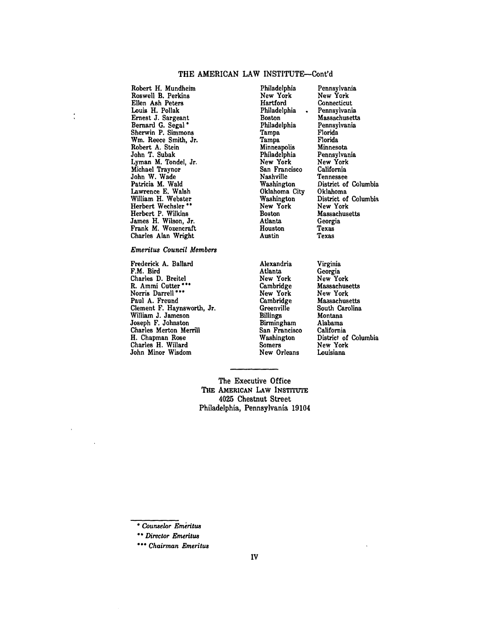#### THE AMERICAN LAW INSTITUTE--Cont'd

Roswell B. Perkins New York New York New York New York New York New York New York New York New York New York New York New York New York New York New York New York New York New York New York New York New York New York New Y Ellen Ash Peters Hartford Connecticut Louis H. Pollak Philadelphia **.** Pennsylvania Ernest J. Sargeant Boston Massachusetts Bernard G. Segal **\*** Philadelphia Pennsylvania Sherwin P. Simmons<br>
W.m. Reece Smith, Jr.<br>
Tampa Florida Win. Reece Smith, Jr. Tampa Florida Robert A. Stein Minneapolis Minnesota<br>1997 - John T. Subak Minneapolis Minnesota<br>1998 - Philadelphia Pennsylvania John T. Subak Philadelphia Pennsylvania Lyman M. Tondel, Jr. New York New York Michael Traynor San Francisco California John W. Wade **Nashville** Tennessee Lawrence E. Walsh **Chaloma City** Oklahoma City Oklahoma City Oklahoma City Oklahoma City Oklahoma City Oklahoma City Oklahoma City Oklahoma City Oklahoma City Oklahoma City Oklahoma City Oklahoma City Oklahoma City Oklahom William H. Webster Washington District of Columbia Point Columbia District of Columbia Point Columbia Point Columbia Point Columbia Point Columbia Point Columbia Point Columbia Point Columbia Point Columbia Point Columbia Herbert Wechsler \*\* The New York New York New York New York New York New York New York New York New York New York New York New York New York New York New York New York New York New York New York New York New York New York Herbert P. Wilkins Massachusetts Boston Massachusetts Massachusetts Massachusetts Massachusetts Massachusetts M<br>
1990 - Atlanta Georgia James H. Wilson, Jr. Atlanta Georgia (Georgia)<br>
Frank M. Wozencraft Houston Texas Frank M. Wozencraft<br>
Charles Alan Wright<br>
Charles Alan Wright<br>
Austin Texas Charles Alan Wright

 $\ddot{\cdot}$ 

*Emeritus Council Members*

Frederick **A.** Ballard F.M. Bird Charles D. Breitel R. Ammi Cutter' Norris Darrell' Paul A. Freund Clement F. Haynsworth, Jr. William J. Jameson Joseph F. Johnston Charles Merton Merrill H. Chapman Rose Charles H. Willard John Minor Wisdom

Robert H. Mundheim Philadelphia Pennsylvania

Washington District of Columbia<br>Oklahoma City Oklahoma

Alexandria Atlanta New York Cambridge New York Cambridge **Greenville** Billings Birmingham San Francisco Washington Somers New Orleans

Virginia Georgia New York Massachusetts New York Massachusetts South Carolina Montana Alabama California District of Columbia New York Louisiana

The Executive Office **THE** AMERICAN LAW **INSTITUTE** 4025 Chestnut Street Philadelphia, Pennsylvania 19104

<sup>\*</sup> *Counselor Emritus*

*<sup>\*</sup> Director Emeritus*

**<sup>\*&</sup>quot;** *Chairman Emeritus*